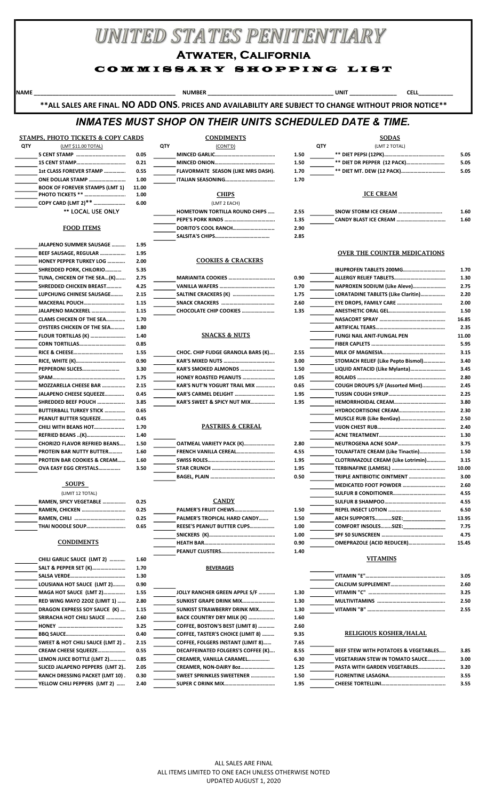# UNITED STATES PENITENTIARY

Atwater, California

## COMMISSARY SHOPPING LIST

NAME \_\_\_\_\_\_\_\_\_\_\_\_\_\_\_\_\_\_\_\_\_\_\_\_\_\_\_\_\_\_\_\_\_\_\_\_\_\_\_\_\_\_\_\_\_\_\_\_\_\_\_\_\_\_\_\_\_ NUMBER \_\_\_\_\_\_\_\_\_\_\_\_\_\_\_\_\_\_\_\_\_\_\_\_\_\_\_\_\_\_\_\_\_\_\_\_\_\_\_\_ UNIT \_\_\_\_\_\_\_\_\_\_\_\_\_\_\_ CELL\_\_\_\_\_\_\_\_\_\_\_

\*\*ALL SALES ARE FINAL. NO ADD ONS. PRICES AND AVAILABILITY ARE SUBJECT TO CHANGE WITHOUT PRIOR NOTICE\*\*

# INMATES MUST SHOP ON THEIR UNITS SCHEDULED DATE & TIME.

## STAMPS, PHOTO TICKETS & COPY CARDS CONDIMENTS CONDIMENTS SODAS

| QTY | (LMT \$11.00 TOTAL)                   |       |
|-----|---------------------------------------|-------|
|     |                                       | 0.05  |
|     |                                       | 0.21  |
|     | 1st CLASS FOREVER STAMP               | 0.55  |
|     | ONE DOLLAR STAMP                      | 1.00  |
|     | <b>BOOK OF FOREVER STAMPS (LMT 1)</b> | 11.00 |
|     | PHOTO TICKETS **                      | 1.00  |
|     | COPY CARD (LMT 2)**                   | 6.00  |
|     | ** LOCAL USE ONLY                     |       |

### FOOD ITEMS

| <b>JALAPENO SUMMER SAUSAGE </b>        | 1.95 |
|----------------------------------------|------|
| BEEF SAUSAGE, REGULAR                  | 1.95 |
| <b>HONEY PEPPER TURKEY LOG </b>        | 2.00 |
| SHREDDED PORK, CHILORIO                | 5.35 |
| TUNA, CHICKEN OF THE SEA(K)            | 2.75 |
| <b>SHREDDED CHICKEN BREAST</b>         | 4.25 |
| <b>LUPCHUNG CHINESE SAUSAGE</b>        | 2.15 |
| <b>MACKERAL POUCH</b>                  | 1.15 |
| <b>JALAPENO MACKEREL </b>              | 1.15 |
| <b>CLAMS CHICKEN OF THE SEA</b>        | 1.70 |
| OYSTERS CHICKEN OF THE SEA             | 1.80 |
| <b>FLOUR TORTILLAS (K) </b>            | 1.40 |
|                                        | 0.85 |
|                                        | 1.55 |
|                                        | 0.90 |
| PEPPERONI SLICES                       | 3.30 |
|                                        | 1.75 |
| MOZZARELLA CHEESE BAR                  | 2.15 |
| JALAPENO CHEESE SQUEEZE                | 0.45 |
| SHREDDED BEEF POUCH                    | 3.85 |
| <b>BUTTERBALL TURKEY STICK </b>        | 0.65 |
| PEANUT BUTTER SQUEEZE                  | 0.45 |
| CHILI WITH BEANS HOT                   | 1.70 |
| REFRIED BEANS (K)                      | 1.40 |
| <b>CHORIZO FLAVOR REFRIED BEANS</b>    | 1.50 |
| <b>PROTEIN BAR NUTTY BUTTER</b>        | 1.60 |
| <b>PROTEIN BAR COOKIES &amp; CREAM</b> | 1.60 |
| OVA EASY EGG CRYSTALS                  | 3.50 |
|                                        |      |

| RAMEN. SPICY VEGETABLE | 0.: |
|------------------------|-----|
|                        | 0.: |
|                        | 0.: |
| THAI NOODLE SOUP       | 0.0 |
|                        |     |

|                                        |      |                                          |      | <b>VITAMINS</b>                                 |      |
|----------------------------------------|------|------------------------------------------|------|-------------------------------------------------|------|
| CHILI GARLIC SAUCE (LMT 2)             | 1.60 |                                          |      |                                                 |      |
| SALT & PEPPER SET (K)                  | 1.70 | <b>BEVERAGES</b>                         |      |                                                 |      |
|                                        | 1.30 |                                          |      |                                                 | 3.05 |
| LOUSIANA HOT SAUCE (LMT 2)             | 0.90 |                                          |      |                                                 | 2.60 |
| MAGA HOT SAUCE (LMT 2)                 | 1.55 | JOLLY RANCHER GREEN APPLE S/F            | 1.30 |                                                 | 3.25 |
| <b>RED WING MAYO 2202 (LIMIT 1) </b>   | 2.80 | <b>SUNKIST GRAPE DRINK MIX</b>           | 1.30 |                                                 | 2.50 |
| DRAGON EXPRESS SOY SAUCE (K)           | 1.15 | <b>SUNKIST STRAWBERRY DRINK MIX</b>      | 1.30 |                                                 | 2.55 |
| SRIRACHA HOT CHILI SAUCE               | 2.60 | BACK COUNTRY DRY MILK (K)                | 1.60 |                                                 |      |
|                                        | 3.25 | COFFEE, BOSTON'S BEST (LIMIT 8)          | 2.60 |                                                 |      |
|                                        | 0.40 | COFFEE, TASTER'S CHOICE (LIMIT 8)        | 9.35 | RELIGIOUS KOSHER/HALAL                          |      |
| SWEET & HOT CHILI SAUCE (LMT 2).       | 2.15 | <b>COFFEE, FOLGERS INSTANT (LIMIT 8)</b> | 7.65 |                                                 |      |
| CREAM CHEESE SQUEEZE                   | 0.55 | DECAFFEINATED FOLGERS'S COFFEE (K)       | 8.55 | <b>BEEF STEW WITH POTATOES &amp; VEGETABLES</b> | 3.85 |
| LEMON JUICE BOTTLE (LMT 2)             | 0.85 | CREAMER, VANILLA CARAMEL                 | 6.30 | <b>VEGETARIAN STEW IN TOMATO SAUCE</b>          | 3.00 |
| SLICED JALAPENO PEPPERS (LMT 2).       | 2.05 | CREAMER. NON-DAIRY 80Z                   | 1.25 | PASTA WITH GARDEN VEGETABLES                    | 3.20 |
| <b>RANCH DRESSING PACKET (LMT 10).</b> | 0.30 | SWEET SPRINKLES SWEETENER                | 1.50 |                                                 | 3.55 |
| YELLOW CHILI PEPPERS (LMT 2)           | 2.40 |                                          | 1.95 |                                                 | 3.55 |

|            | STAMPS, PHOTO TICKETS & COPY CARDS    |       | <b>CONDIMENTS</b>                     |      |            | SODA:                       |
|------------|---------------------------------------|-------|---------------------------------------|------|------------|-----------------------------|
| <b>QTY</b> | (LMT \$11.00 TOTAL)                   |       | <b>QTY</b><br>(CONT'D)                |      | <b>QTY</b> | (LMT 2 TOT                  |
|            |                                       | 0.05  |                                       | 1.50 |            | ** DIET PEPSI (12PK)        |
|            |                                       | 0.21  |                                       | 1.50 |            | ** DIET DR PEPPER (12 PA    |
|            | 1st CLASS FOREVER STAMP               | 0.55  | FLAVORMATE SEASON (LIKE MRS DASH).    | 1.70 |            | ** DIET MT. DEW (12 PACK    |
|            | ONE DOLLAR STAMP                      | 1.00  |                                       | 1.70 |            |                             |
|            | <b>BOOK OF FOREVER STAMPS (LMT 1)</b> | 11.00 |                                       |      |            |                             |
|            | <b>PHOTO TICKETS ** </b>              | 1.00  | <b>CHIPS</b>                          |      |            | <b>ICE CREAM</b>            |
|            | COPY CARD (LMT 2) <sup>**</sup>       | 6.00  | (LMT 2 EACH)                          |      |            |                             |
|            | ** LOCAL USE ONLY                     |       | <b>HOMETOWN TORTILLA ROUND CHIPS </b> | 2.55 |            | <b>SNOW STORM ICE CREAM</b> |
|            |                                       |       |                                       |      |            |                             |

# DORITO'S COOL RANCH………….……...……….....……………. 2.90 SALSITA'S CHIPS…….…………………………… 2.85

### COOKIES & CRACKERS

| <b>MARIANITA COOKIES </b> |
|---------------------------|
|                           |
| SALTINE CRACKERS (K)      |
|                           |
|                           |

# THE TORTION SOLUTE SOLUTE 1.40 SNACKS & NUTS 1.40

| CHOC. CHIP FUDGE GRANOLA BARS (K)      |
|----------------------------------------|
| <b>KAR'S MIXED NUTS </b>               |
| KAR'S SMOKED ALMONDS                   |
| <b>HONEY ROASTED PEANUTS </b>          |
| <b>KAR'S NUT'N YOGURT TRAIL MIX </b>   |
| <b>KAR'S CARMEL DELIGHT </b>           |
| <b>KAR'S SWEET &amp; SPICY NUT MIX</b> |
|                                        |

### 1.70 PASTRIES & CEREAL

| OATMEAL VARIETY PACK (K) |
|--------------------------|
| FRENCH VANILLA CEREAL    |
|                          |
|                          |
|                          |

| PALMER'S FRUIT CHEWS         | 1.50 |
|------------------------------|------|
| PALMER'S TROPICAL HARD CANDY | 1.50 |
| REESE'S PEANUT BUTTER CUPS   | 1.00 |
|                              | 1.00 |
|                              | 0.90 |
|                              | 140  |

# SALT AND SEVERAGES (K) EXPERIENCES

| LUUSIANA HUT SAUCE (LIVITZ)            | <b>U.JU</b> |                                          |        |                                                 | 2.OU        |
|----------------------------------------|-------------|------------------------------------------|--------|-------------------------------------------------|-------------|
| MAGA HOT SAUCE (LMT 2)                 | 1.55        | JOLLY RANCHER GREEN APPLE S/F            | 1.30   |                                                 | 3.25        |
| RED WING MAYO 22OZ (LIMIT 1)           | 2.80        | <b>SUNKIST GRAPE DRINK MIX</b>           | 1.30   |                                                 | 2.50        |
| <b>DRAGON EXPRESS SOY SAUCE (K) </b> . | 1.15        | <b>SUNKIST STRAWBERRY DRINK MIX</b>      | 1.30   |                                                 | 2.55        |
| SRIRACHA HOT CHILI SAUCE               | 2.60        | BACK COUNTRY DRY MILK (K)                | 1.60   |                                                 |             |
|                                        | 3.25        | COFFEE, BOSTON'S BEST (LIMIT 8)          | 2.60   |                                                 |             |
|                                        | 0.40        | COFFEE, TASTER'S CHOICE (LIMIT 8)        | 9.35   | RELIGIOUS KOSHER/HALAL                          |             |
| SWEET & HOT CHILI SAUCE (LMT 2)        | 2.15        | <b>COFFEE, FOLGERS INSTANT (LIMIT 8)</b> | 7.65   |                                                 |             |
| <b>CREAM CHEESE SQUEEZE</b>            | 0.55        | DECAFFEINATED FOLGERS'S COFFEE (K)       | 8.55   | <b>BEEF STEW WITH POTATOES &amp; VEGETABLES</b> | 3.85        |
| LEMON JUICE BOTTLE (LMT 2)             | 0.85        | <b>CREAMER. VANILLA CARAMEL</b>          | 6.30   | <b>VEGETARIAN STEW IN TOMATO SAUCE</b>          | 3.00        |
| SLICED JALAPENO PEPPERS(LMT 2).        | 2.05        | CREAMER. NON-DAIRY 80Z                   | 1.25   | <b>PASTA WITH GARDEN VEGETABLES</b>             | 3.20        |
| RANCH DRESSING PACKET (LMT 10) .       | 0.30        | <b>SWEET SPRINKLES SWEETENER</b>         | 1.50   |                                                 | 3.55        |
| VEII (VAI CHIII DEDDEDC /I MT ?)       | <b>2.40</b> | CHDED C DDINK MIV                        | 1 Q.C. | CHEECE TOPTELLINI                               | <b>2 EE</b> |

## 5 CENT STAMP …………...…………………………0.05 MINCED GARLIC…………………………………………………..1.50 \*\* DIET PEPSI (12PK)……………………..……………… 5.05 15 CENT STAMP…………………….…………….……0.21 MINCED ONION…………………………………………………..1.50 \*\* DIET DR PEPPER (12 PACK)………………………. 5.05 1st CLASS FOREVER STAMP ………………………...…………….. 0.55 FLAVORMATE SEASON (LIKE MRS DASH)………………………………………………….. 1.70 \*\* DIET MT. DEW (12 PACK)………………..……………. 5.05 **QTY** (LMT 2 TOTAL)

| <b>HOMETOWN TORTILLA ROUND CHIPS </b> | 2.55 | SNOW STORM ICE CREAM | 1.60 |
|---------------------------------------|------|----------------------|------|
|                                       | 1.35 |                      | 1.60 |
|                                       | 2.90 |                      |      |

### OVER THE COUNTER MEDICATIONS

| SHREDDED PORK, CHILORIO         | 5.35 |                                      |      | <b>IBUPROFEN TABLETS 200MG</b>     | 1.70  |
|---------------------------------|------|--------------------------------------|------|------------------------------------|-------|
| TUNA, CHICKEN OF THE SEA(K)     | 2.75 | <b>MARIANITA COOKIES </b>            | 0.90 |                                    | 1.30  |
| SHREDDED CHICKEN BREAST         | 4.25 |                                      | 1.70 | NAPROXEN SODIUM (Like Aleve)       | 2.75  |
| LUPCHUNG CHINESE SAUSAGE        | 2.15 |                                      | 1.75 | LORATADINE TABLETS (Like Claritin) | 2.20  |
| <b>MACKERAL POUCH</b>           | 1.15 |                                      | 2.60 |                                    | 2.00  |
| JALAPENO MACKEREL               | 1.15 |                                      | 1.35 |                                    | 1.50  |
| <b>CLAMS CHICKEN OF THE SEA</b> | 1.70 |                                      |      |                                    | 16.85 |
| OYSTERS CHICKEN OF THE SEA      | 1.80 |                                      |      |                                    | 2.35  |
| <b>FLOUR TORTILLAS (K) </b>     | 1.40 | <b>SNACKS &amp; NUTS</b>             |      | <b>FUNGI NAIL ANIT-FUNGAL PEN</b>  | 11.00 |
|                                 | 0.85 |                                      |      |                                    | 5.95  |
|                                 | 1.55 | CHOC. CHIP FUDGE GRANOLA BARS (K)    | 2.55 |                                    | 3.15  |
| RICE, WHITE (K)                 | 0.90 |                                      | 3.00 | STOMACH RELIEF (Like Pepto Bismol) | 3.40  |
| <b>PEPPERONI SLICES</b>         | 3.30 | KAR'S SMOKED ALMONDS                 | 1.50 | LIQUID ANTACID (Like Mylanta)      | 3.45  |
| SPAM……………………………………………           | 1.75 | <b>HONEY ROASTED PEANUTS </b>        | 1.05 |                                    | 2.80  |
| MOZZARELLA CHEESE BAR           | 2.15 | <b>KAR'S NUT'N YOGURT TRAIL MIX </b> | 0.65 | COUGH DROUPS S/F (Assorted Mint)   | 2.45  |
| <b>JALAPENO CHEESE SQUEEZE</b>  | 0.45 | KAR'S CARMEL DELIGHT                 | 1.95 |                                    | 2.25  |
| SHREDDED BEEF POUCH             | 3.85 | KAR'S SWEET & SPICY NUT MIX          | 1.95 |                                    | 3.80  |
| BUTTERBALL TURKEY STICK         | 0.65 |                                      |      |                                    | 2.30  |
| PEANUT BUTTER SQUEEZE           | 0.45 |                                      |      |                                    | 2.50  |
| CHILI WITH BEANS HOT            | 1.70 | <b>PASTRIES &amp; CEREAL</b>         |      |                                    | 2.40  |
| REFRIED BEANS (K)               | 1.40 |                                      |      |                                    | 1.30  |
| CHORIZO FLAVOR REFRIED BEANS    | 1.50 | OATMEAL VARIETY PACK (K)             | 2.80 |                                    | 3.75  |
| PROTEIN BAR NUTTY BUTTER        | 1.60 | FRENCH VANILLA CEREAL                | 4.55 | TOLNAFTATE CREAM (Like Tinactin)   | 1.50  |
| PROTEIN BAR COOKIES & CREAM     | 1.60 |                                      | 1.95 | CLOTRIMAZOLE CREAM (Like Lotrimin) | 3.15  |
| OVA EASY EGG CRYSTALS           | 3.50 |                                      | 1.95 |                                    | 10.00 |
|                                 |      |                                      | 0.50 | TRIPLE ANTIBIOTIC OINTMENT         | 3.00  |
| SOUPS                           |      |                                      |      |                                    | 2.60  |
| (LIMIT 12 TOTAL)                |      |                                      |      |                                    | 4.55  |
| RAMEN, SPICY VEGETABLE …………….   | 0.25 | <b>CANDY</b>                         |      |                                    | 4.55  |
| RAMEN, CHICKEN                  | 0.25 | <b>PALMER'S FRUIT CHEWS</b>          | 1.50 |                                    | 6.50  |
|                                 | 0.25 | PALMER'S TROPICAL HARD CANDY         | 1.50 | <b>ARCH SUPPORTSSIZE:</b>          | 13.95 |
| THAI NOODLE SOUP                | 0.65 | <b>REESE'S PEANUT BUTTER CUPS</b>    | 1.00 | <b>COMFORT INSOLESSIZE:</b>        | 7.75  |
|                                 |      |                                      | 1.00 |                                    | 4.75  |
| <b>CONDIMENTS</b>               |      |                                      | 0.90 | OMEPRAZOLE (ACID REDUCER)          | 15.45 |
|                                 |      | DEANHIT CHISTEDS                     | 1.40 |                                    |       |

| SALSA VERDE…………………………………             | 1.30 |                                          |      |                                                 | 3.05 |
|--------------------------------------|------|------------------------------------------|------|-------------------------------------------------|------|
| LOUSIANA HOT SAUCE (LMT 2)           | 0.90 |                                          |      |                                                 | 2.60 |
| MAGA HOT SAUCE  (LMT 2)              | 1.55 | JOLLY RANCHER GREEN APPLE S/F            | 1.30 |                                                 | 3.25 |
| RED WING MAYO 22OZ (LIMIT 1)         | 2.80 | <b>SUNKIST GRAPE DRINK MIX</b>           | 1.30 |                                                 | 2.50 |
| <b>DRAGON EXPRESS SOY SAUCE (K) </b> | 1.15 | <b>SUNKIST STRAWBERRY DRINK MIX</b>      | 1.30 |                                                 | 2.55 |
| <b>SRIRACHA HOT CHILI SAUCE </b>     | 2.60 | BACK COUNTRY DRY MILK (K)                | 1.60 |                                                 |      |
|                                      | 3.25 | COFFEE, BOSTON'S BEST (LIMIT 8)          | 2.60 |                                                 |      |
|                                      | 0.40 | COFFEE, TASTER'S CHOICE (LIMIT 8)        | 9.35 | RELIGIOUS KOSHER/HALAL                          |      |
| SWEET & HOT CHILI SAUCE (LMT 2)      | 2.15 | <b>COFFEE. FOLGERS INSTANT (LIMIT 8)</b> | 7.65 |                                                 |      |
| <b>CREAM CHEESE SQUEEZE</b>          | 0.55 | DECAFFEINATED FOLGERS'S COFFEE (K)       | 8.55 | <b>BEEF STEW WITH POTATOES &amp; VEGETABLES</b> | 3.85 |
| LEMON JUICE BOTTLE (LMT 2)           | 0.85 | <b>CREAMER. VANILLA CARAMEL</b>          | 6.30 | <b>VEGETARIAN STEW IN TOMATO SAUCE</b>          | 3.00 |
| SLICED JALAPENO PEPPERS (LMT 2).     | 2.05 | CREAMER. NON-DAIRY 80Z                   | 1.25 | <b>PASTA WITH GARDEN VEGETABLES</b>             | 3.20 |
|                                      |      |                                          |      |                                                 |      |